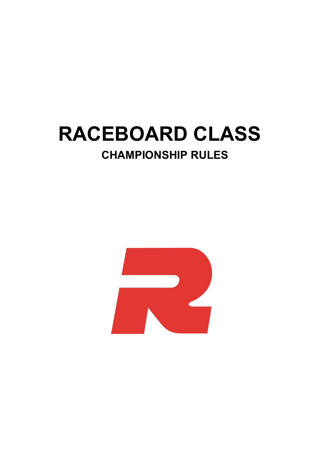# **RACEBOARD CLASS CHAMPIONSHIP RULES**

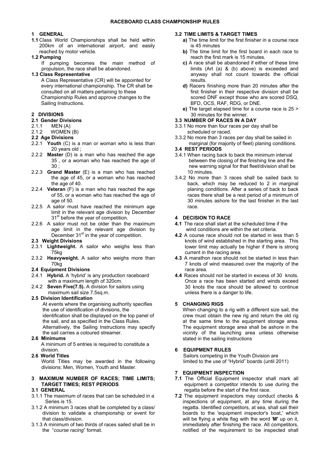# **1 GENERAL**

**1.1** Class World Championships shall be held within 200km of an international airport, and easily reached by motor vehicle.

## **1.2 Pumping**

If pumping becomes the main method of propulsion, the race shall be abandoned.

#### **1.3 Class Representative**

A Class Representative (CR) will be appointed for every international championship. The CR shall be consulted on all matters pertaining to these Championship Rules and approve changes to the Sailing Instructions.

# **2 DIVISIONS**

# **2.1 Gender Divisions**

- 2.1.1MEN (A)
- 2.1.2 WOMEN (B)

# **2.2 Age Divisions**

- 2.2.1 **Youth** (C) is a man or woman who is less than 20 years old ;
- 2.2.2 **Master** (D) is a man who has reached the age 35 , or a woman who has reached the age of 30 ;
- 2.2.3 **Grand Master** (E) is a man who has reached the age of 45, or a woman who has reached the age of 40.
- 2.2.4 **Veteran** (F) is a man who has reached the age of 55, or a woman who has reached the age of age of 50.
- 2.2.5 A sailor must have reached the minimum age limit in the relevant age division by December 31<sup>st</sup> before the year of competition.
- 2.2.6 A sailor must not be older than the maximum age limit in the relevant age division by December  $31<sup>st</sup>$  in the year of competition.

# **2.3 Weight Divisions**

- 2.3.1 **Lightweight.** A sailor who weighs less than 75kg
- 2.3.2 **Heavyweight.** A sailor who weighs more than 70kg

## **2.4 Equipment Divisions**

- 2.4.1 **Hybrid.** A 'hybrid' is any production raceboard with a maximum length of 320cm.
- 2.4.2 **Seven Five(7.5).** A division for sailors using maximum sail size 7.5sq.m.

#### **2.5 Division Identification**

 At events where the organising authority specifies the use of identification of divisions, the identification shall be displayed on the top panel of the sail, and as specified in the Class Rules. Alternatively, the Sailing Instructions may specify the sail carries a coloured streamer.

#### **2.6 Minimums**

A minimum of 5 entries is required to constitute a division.

#### **2.6 World Titles**

World Titles may be awarded in the following divisions: Men, Women, Youth and Master.

## **3 MAXIMUM NUMBER OF RACES; TIME LIMITS; TARGET TIMES; REST PERIODS**

# **3.1 GENERAL**

- 3.1.1 The maximum of races that can be scheduled in a Series is 15.
- 3.1.2 A minimum 3 races shall be completed by a class/ division to validate a championship or event for that class/division.
- 3.1.3 A minimum of two thirds of races sailed shall be in the "*course racing*" format.

## **3.2 TIME LIMITS & TARGET TIMES**

- **a)** The time limit for the first finisher in a course race is 45 minutes
- **b)** The time limit for the first board in each race to reach the first mark is 15 minutes.
- **c)** A race shall be abandoned if either of these time limits (Art (a) & (b) above) is exceeded and anyway shall not count towards the official results.
- **d)** Racers finishing more than 20 minutes after the first finisher in their respective division shall be scored DNF except those who are scored DSQ, BFD, OCS, RAF, RDG, or DNE.
- **e)** The target elapsed time for a course race is 25 > 30 minutes for the winner.

#### **3.3 NUMBER OF RACES IN A DAY**

- 3.3.1 No more than four races per day shall be scheduled or raced.
- 3.3.2 No more than 3 races per day shall be sailed in marginal (for majority of fleet) planing conditions.

# **3.4 REST PERIODS**

- 3.4.1 When racing back to back the minimum interval between the closing of the finishing line and the new warning signal for that fleet/division shall be 10 minutes.
- 3.4.2 No more than 3 races shall be sailed back to back, which may be reduced to 2 in marginal planing conditions. After a series of back to back races there shall be a rest period of a minimum of 30 minutes ashore for the last finisher in the last race.

## **4 DECISION TO RACE**

- **4.1** The race shall start at the scheduled time if the wind conditions are within the set criteria.
- **4.2** A course race should not be started in less than 5 knots of wind established in the starting area. This lower limit may actually be higher if there is strong current in the racing area.
- **4.3** A marathon race should not be started in less than 7 knots of wind measured over the majority of the race area.
- **4.4** Races should not be started in excess of 30 knots. Once a race has been started and winds exceed 30 knots the race should be allowed to continue unless there is a danger to life.

# **5 CHANGING RIGS**

When changing to a rig with a different size sail, the crew must obtain the new rig and return the old rig at the same time to the equipment storage area. The equipment storage area shall be ashore in the vicinity of the launching area unless otherwise stated in the sailing instructions

# **6 EQUIPMENT RULES**

Sailors competing in the Youth Division are limited to the use of "Hybrid" boards (until 2011)

# **7 EQUIPMENT INSPECTION**

- **7.1** The Official Equipment inspector shall mark all equipment a competitor intends to use during the regatta before the start of the first race.
- **7.2** The equipment inspectors may conduct checks & inspections of equipment, at any time during the regatta. Identified competitors, at sea, shall sail their boards to the 'equipment inspector's boat,' which will be flying a white flag with the word '**M'** up on it, immediately after finishing the race. All competitors, notified of the requirement to be inspected shall